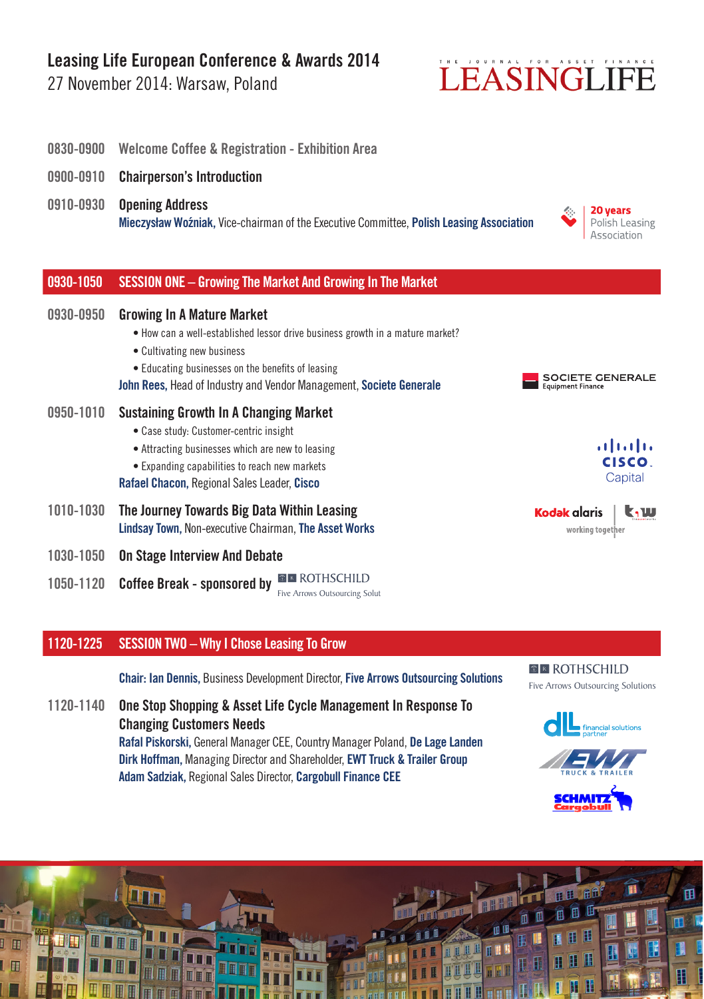## **Leasing Life European Conference & Awards 2014**

27 November 2014: Warsaw, Poland

## LEASINGLIFE



### **1120-1225 SESSION TWO – Why I Chose Leasing To Grow**

**Chair: Ian Dennis,** Business Development Director, **Five Arrows Outsourcing Solutions** 

**1120-1140 One Stop Shopping & Asset Life Cycle Management In Response To Changing Customers Needs Rafal Piskorski,** General Manager CEE, Country Manager Poland, **De Lage Landen Dirk Hoffman,** Managing Director and Shareholder, **EWT Truck & Trailer Group Adam Sadziak,** Regional Sales Director, **Cargobull Finance CEE**

#### **ER ROTHSCHILD** Five Arrows Outsourcing Solutions



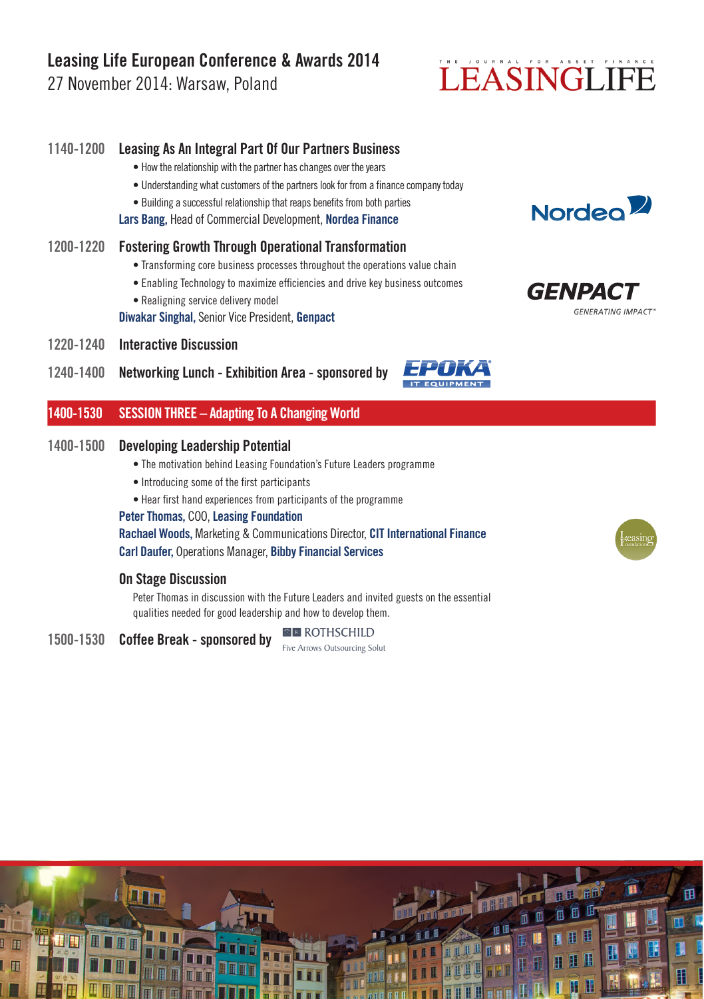## **Leasing Life European Conference & Awards 2014**

27 November 2014: Warsaw, Poland

# LEASINGLIFE

## **1140-1200 Leasing As An Integral Part Of Our Partners Business** • How the relationship with the partner has changes over the years • Understanding what customers of the partners look for from a finance company today • Building a successful relationship that reaps benefits from both parties **Lars Bang,** Head of Commercial Development, **Nordea Finance 1200-1220 Fostering Growth Through Operational Transformation** • Transforming core business processes throughout the operations value chain • Enabling Technology to maximize efficiencies and drive key business outcomes

• Realigning service delivery model

**Diwakar Singhal,** Senior Vice President, **Genpact**

- **1220-1240 Interactive Discussion**
- **1240-1400 Networking Lunch Exhibition Area sponsored by**

## **1400-1530 SESSION THREE – Adapting To A Changing World**

### **1400-1500 Developing Leadership Potential**

- The motivation behind Leasing Foundation's Future Leaders programme
- Introducing some of the first participants

• Hear first hand experiences from participants of the programme

**Peter Thomas,** COO, **Leasing Foundation**

**Rachael Woods,** Marketing & Communications Director, **CIT International Finance Carl Daufer,** Operations Manager, **Bibby Financial Services** 

#### **On Stage Discussion**

Peter Thomas in discussion with the Future Leaders and invited guests on the essential qualities needed for good leadership and how to develop them.

**1500-1530 Coffee Break - sponsored by EMILY Arrows Outsourcine Solutions**